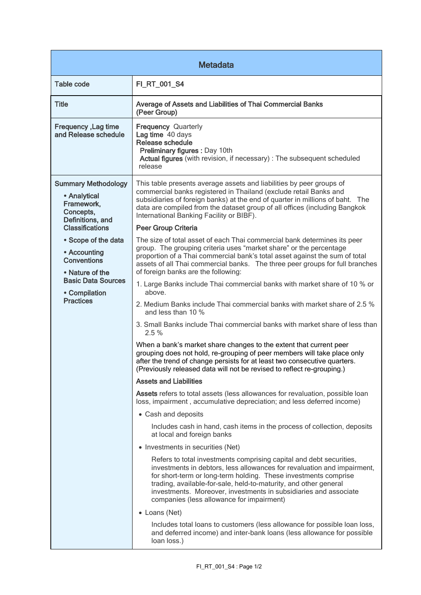| <b>Metadata</b>                                                                                                                                                                                                                                                       |                                                                                                                                                                                                                                                                                                                                                                                                        |
|-----------------------------------------------------------------------------------------------------------------------------------------------------------------------------------------------------------------------------------------------------------------------|--------------------------------------------------------------------------------------------------------------------------------------------------------------------------------------------------------------------------------------------------------------------------------------------------------------------------------------------------------------------------------------------------------|
| <b>Table code</b>                                                                                                                                                                                                                                                     | FI_RT_001_S4                                                                                                                                                                                                                                                                                                                                                                                           |
| <b>Title</b>                                                                                                                                                                                                                                                          | Average of Assets and Liabilities of Thai Commercial Banks<br>(Peer Group)                                                                                                                                                                                                                                                                                                                             |
| Frequency, Lag time<br>and Release schedule                                                                                                                                                                                                                           | <b>Frequency Quarterly</b><br>Lag time 40 days<br><b>Release schedule</b><br>Preliminary figures : Day 10th<br>Actual figures (with revision, if necessary) : The subsequent scheduled<br>release                                                                                                                                                                                                      |
| <b>Summary Methodology</b><br>• Analytical<br>Framework,<br>Concepts,<br>Definitions, and<br><b>Classifications</b><br>• Scope of the data<br>• Accounting<br><b>Conventions</b><br>• Nature of the<br><b>Basic Data Sources</b><br>• Compilation<br><b>Practices</b> | This table presents average assets and liabilities by peer groups of<br>commercial banks registered in Thailand (exclude retail Banks and<br>subsidiaries of foreign banks) at the end of quarter in millions of baht. The<br>data are compiled from the dataset group of all offices (including Bangkok<br>International Banking Facility or BIBF).                                                   |
|                                                                                                                                                                                                                                                                       | <b>Peer Group Criteria</b>                                                                                                                                                                                                                                                                                                                                                                             |
|                                                                                                                                                                                                                                                                       | The size of total asset of each Thai commercial bank determines its peer<br>group. The grouping criteria uses "market share" or the percentage<br>proportion of a Thai commercial bank's total asset against the sum of total<br>assets of all Thai commercial banks. The three peer groups for full branches<br>of foreign banks are the following:                                                   |
|                                                                                                                                                                                                                                                                       | 1. Large Banks include Thai commercial banks with market share of 10 % or<br>above.                                                                                                                                                                                                                                                                                                                    |
|                                                                                                                                                                                                                                                                       | 2. Medium Banks include Thai commercial banks with market share of 2.5 %<br>and less than 10 %                                                                                                                                                                                                                                                                                                         |
|                                                                                                                                                                                                                                                                       | 3. Small Banks include Thai commercial banks with market share of less than<br>2.5 %                                                                                                                                                                                                                                                                                                                   |
|                                                                                                                                                                                                                                                                       | When a bank's market share changes to the extent that current peer<br>grouping does not hold, re-grouping of peer members will take place only<br>after the trend of change persists for at least two consecutive quarters.<br>(Previously released data will not be revised to reflect re-grouping.)                                                                                                  |
|                                                                                                                                                                                                                                                                       | <b>Assets and Liabilities</b>                                                                                                                                                                                                                                                                                                                                                                          |
|                                                                                                                                                                                                                                                                       | Assets refers to total assets (less allowances for revaluation, possible loan<br>loss, impairment, accumulative depreciation; and less deferred income)                                                                                                                                                                                                                                                |
|                                                                                                                                                                                                                                                                       | • Cash and deposits                                                                                                                                                                                                                                                                                                                                                                                    |
|                                                                                                                                                                                                                                                                       | Includes cash in hand, cash items in the process of collection, deposits<br>at local and foreign banks                                                                                                                                                                                                                                                                                                 |
|                                                                                                                                                                                                                                                                       | • Investments in securities (Net)                                                                                                                                                                                                                                                                                                                                                                      |
|                                                                                                                                                                                                                                                                       | Refers to total investments comprising capital and debt securities,<br>investments in debtors, less allowances for revaluation and impairment,<br>for short-term or long-term holding. These investments comprise<br>trading, available-for-sale, held-to-maturity, and other general<br>investments. Moreover, investments in subsidiaries and associate<br>companies (less allowance for impairment) |
|                                                                                                                                                                                                                                                                       | • Loans (Net)                                                                                                                                                                                                                                                                                                                                                                                          |
|                                                                                                                                                                                                                                                                       | Includes total loans to customers (less allowance for possible loan loss,<br>and deferred income) and inter-bank loans (less allowance for possible<br>loan loss.)                                                                                                                                                                                                                                     |